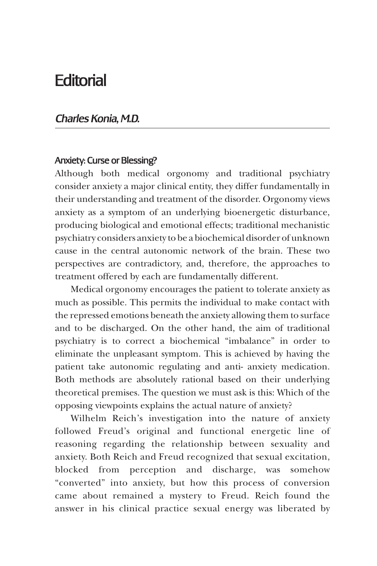## **Editorial**

## *Charles Konia, M.D.*

## Anxiety: Curse or Blessing?

Although both medical orgonomy and traditional psychiatry consider anxiety a major clinical entity, they differ fundamentally in their understanding and treatment of the disorder. Orgonomy views anxiety as a symptom of an underlying bioenergetic disturbance, producing biological and emotional effects; traditional mechanistic psychiatry considers anxiety to be a biochemical disorder of unknown cause in the central autonomic network of the brain. These two perspectives are contradictory, and, therefore, the approaches to treatment offered by each are fundamentally different.

Medical orgonomy encourages the patient to tolerate anxiety as much as possible. This permits the individual to make contact with the repressed emotions beneath the anxiety allowing them to surface and to be discharged. On the other hand, the aim of traditional psychiatry is to correct a biochemical "imbalance" in order to eliminate the unpleasant symptom. This is achieved by having the patient take autonomic regulating and anti- anxiety medication. Both methods are absolutely rational based on their underlying theoretical premises. The question we must ask is this: Which of the opposing viewpoints explains the actual nature of anxiety?

Wilhelm Reich's investigation into the nature of anxiety followed Freud's original and functional energetic line of reasoning regarding the relationship between sexuality and anxiety. Both Reich and Freud recognized that sexual excitation, blocked from perception and discharge, was somehow "converted" into anxiety, but how this process of conversion came about remained a mystery to Freud. Reich found the answer in his clinical practice sexual energy was liberated by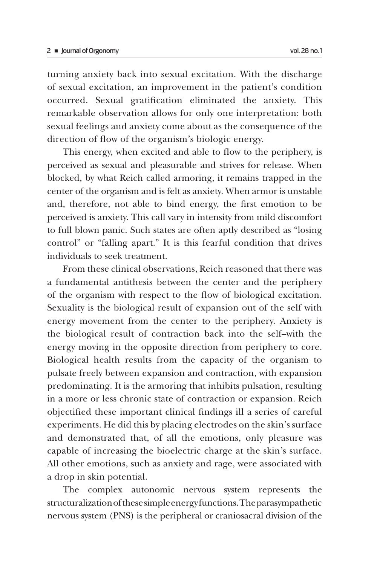turning anxiety back into sexual excitation. With the discharge of sexual excitation, an improvement in the patient's condition occurred. Sexual gratification eliminated the anxiety. This remarkable observation allows for only one interpretation: both sexual feelings and anxiety come about as the consequence of the direction of flow of the organism's biologic energy.

This energy, when excited and able to flow to the periphery, is perceived as sexual and pleasurable and strives for release. When blocked, by what Reich called armoring, it remains trapped in the center of the organism and is felt as anxiety. When armor is unstable and, therefore, not able to bind energy, the first emotion to be perceived is anxiety. This call vary in intensity from mild discomfort to full blown panic. Such states are often aptly described as "losing control" or "falling apart." It is this fearful condition that drives individuals to seek treatment.

From these clinical observations, Reich reasoned that there was a fundamental antithesis between the center and the periphery of the organism with respect to the flow of biological excitation. Sexuality is the biological result of expansion out of the self with energy movement from the center to the periphery. Anxiety is the biological result of contraction back into the self--with the energy moving in the opposite direction from periphery to core. Biological health results from the capacity of the organism to pulsate freely between expansion and contraction, with expansion predominating. It is the armoring that inhibits pulsation, resulting in a more or less chronic state of contraction or expansion. Reich objectified these important clinical findings ill a series of careful experiments. He did this by placing electrodes on the skin's surface and demonstrated that, of all the emotions, only pleasure was capable of increasing the bioelectric charge at the skin's surface. All other emotions, such as anxiety and rage, were associated with a drop in skin potential.

The complex autonomic nervous system represents the structuralization of these simple energy functions. The parasympathetic nervous system (PNS) is the peripheral or craniosacral division of the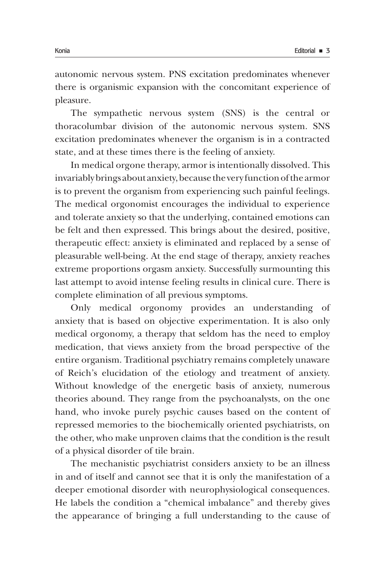autonomic nervous system. PNS excitation predominates whenever there is organismic expansion with the concomitant experience of pleasure.

The sympathetic nervous system (SNS) is the central or thoracolumbar division of the autonomic nervous system. SNS excitation predominates whenever the organism is in a contracted state, and at these times there is the feeling of anxiety.

In medical orgone therapy, armor is intentionally dissolved. This invariably brings about anxiety, because the very function of the armor is to prevent the organism from experiencing such painful feelings. The medical orgonomist encourages the individual to experience and tolerate anxiety so that the underlying, contained emotions can be felt and then expressed. This brings about the desired, positive, therapeutic effect: anxiety is eliminated and replaced by a sense of pleasurable well-being. At the end stage of therapy, anxiety reaches extreme proportions orgasm anxiety. Successfully surmounting this last attempt to avoid intense feeling results in clinical cure. There is complete elimination of all previous symptoms.

Only medical orgonomy provides an understanding of anxiety that is based on objective experimentation. It is also only medical orgonomy, a therapy that seldom has the need to employ medication, that views anxiety from the broad perspective of the entire organism. Traditional psychiatry remains completely unaware of Reich's elucidation of the etiology and treatment of anxiety. Without knowledge of the energetic basis of anxiety, numerous theories abound. They range from the psychoanalysts, on the one hand, who invoke purely psychic causes based on the content of repressed memories to the biochemically oriented psychiatrists, on the other, who make unproven claims that the condition is the result of a physical disorder of tile brain.

The mechanistic psychiatrist considers anxiety to be an illness in and of itself and cannot see that it is only the manifestation of a deeper emotional disorder with neurophysiological consequences. He labels the condition a "chemical imbalance" and thereby gives the appearance of bringing a full understanding to the cause of